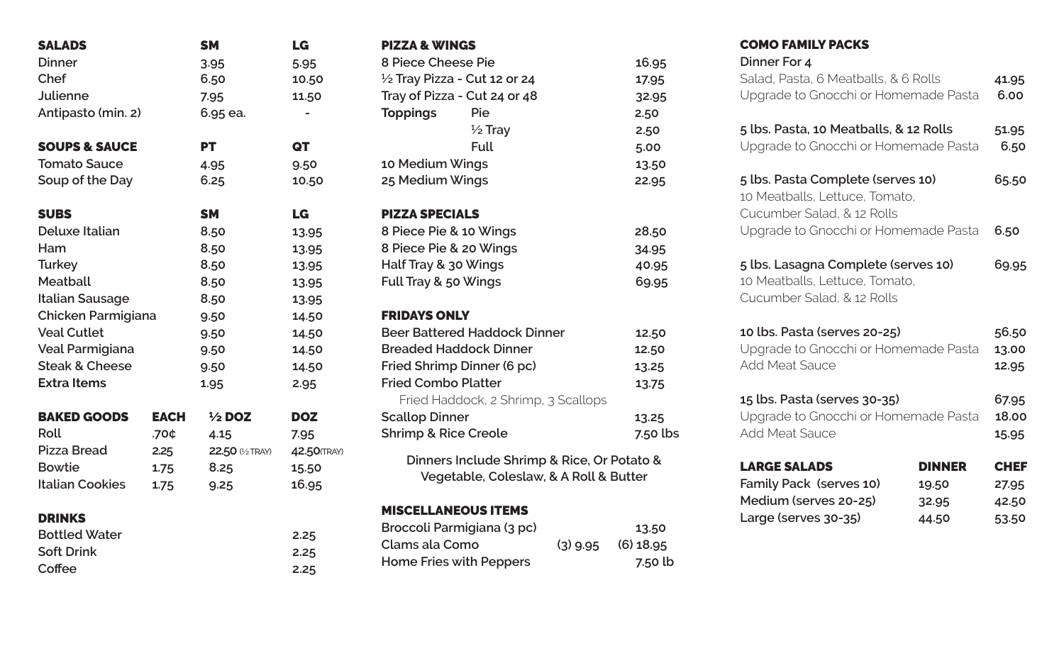| <b>SALADS</b>             |             | <b>SM</b>         | LG           |
|---------------------------|-------------|-------------------|--------------|
| <b>Dinner</b>             |             | 3.95              | 5.95         |
| Chef                      |             | 6.50              | 10.50        |
| <b>Julienne</b>           |             | 7.95              | 11.50        |
| Antipasto (min. 2)        |             | 6.95 ea.          |              |
| <b>SOUPS &amp; SAUCE</b>  |             | <b>PT</b>         | QT           |
| <b>Tomato Sauce</b>       |             | 4.95              | 9.50         |
| Soup of the Day           |             | 6.25              | 10.50        |
| <b>SUBS</b>               |             | <b>SM</b>         | LG           |
| <b>Deluxe Italian</b>     |             | 8.50              | 13.95        |
| Ham                       |             | 8.50              | 13.95        |
| <b>Turkey</b>             |             | 8.50              | 13.95        |
| <b>Meatball</b>           |             | 8.50              | 13.95        |
| <b>Italian Sausage</b>    |             | 8.50              | 13.95        |
| Chicken Parmigiana        |             | 9.50              | 14.50        |
| <b>Veal Cutlet</b>        |             | 9.50              | 14.50        |
| Veal Parmigiana           |             | 9.50              | 14.50        |
| <b>Steak &amp; Cheese</b> |             | 9.50              | 14.50        |
| <b>Extra Items</b>        |             | 1.95              | 2.95         |
| <b>BAKED GOODS</b>        | <b>EACH</b> | $\frac{1}{2}$ DOZ | <b>DOZ</b>   |
| Roll                      | .70¢        | 4.15              | 7.95         |
| <b>Pizza Bread</b>        | 2.25        | 22.50 (1/2 TRAY)  | 42.50 (TRAY) |
| <b>Bowtie</b>             | 1.75        | 8.25              | 15.50        |
| <b>Italian Cookies</b>    | 1.75        | 9.25              | 16.95        |
| <b>DRINKS</b>             |             |                   |              |
| <b>Bottled Water</b>      |             |                   | 2.25         |
| <b>Soft Drink</b>         |             |                   | 2.25         |
| Coffee                    |             |                   | 2.25         |

| <b>PIZZA &amp; WINGS</b>        |                                                                                      |          |
|---------------------------------|--------------------------------------------------------------------------------------|----------|
| 8 Piece Cheese Pie              |                                                                                      | 16.95    |
|                                 | $\frac{1}{2}$ Tray Pizza - Cut 12 or 24                                              | 17.95    |
|                                 | Tray of Pizza - Cut 24 or 48                                                         | 32.95    |
| <b>Toppings</b>                 | Pie                                                                                  | 2.50     |
|                                 | $\frac{1}{2}$ Tray                                                                   | 2.50     |
|                                 | <b>Full</b>                                                                          | 5.00     |
| 10 Medium Wings                 |                                                                                      | 13.50    |
| 25 Medium Wings                 |                                                                                      | 22.95    |
| <b>PIZZA SPECIALS</b>           |                                                                                      |          |
| 8 Piece Pie & 10 Wings          |                                                                                      | 28.50    |
| 8 Piece Pie & 20 Wings          |                                                                                      | 34.95    |
| Half Tray & 30 Wings            |                                                                                      | 40.95    |
| Full Tray & 50 Wings            |                                                                                      | 69.95    |
| <b>FRIDAYS ONLY</b>             |                                                                                      |          |
|                                 | <b>Beer Battered Haddock Dinner</b>                                                  | 12.50    |
|                                 | <b>Breaded Haddock Dinner</b>                                                        | 12.50    |
|                                 | Fried Shrimp Dinner (6 pc)                                                           | 13.25    |
| <b>Fried Combo Platter</b>      |                                                                                      | 13.75    |
|                                 | Fried Haddock, 2 Shrimp, 3 Scallops                                                  |          |
| <b>Scallop Dinner</b>           |                                                                                      | 13.25    |
| <b>Shrimp &amp; Rice Creole</b> |                                                                                      | 7.50 lbs |
|                                 | Dinners Include Shrimp & Rice, Or Potato &<br>Vegetable, Coleslaw, & A Roll & Butter |          |
|                                 | <b>MISCELLANEOUS ITEMS</b>                                                           |          |
|                                 |                                                                                      |          |

# **Broccoli Parmigiana (3 pc) 13.50 Clams ala Como (3) 9.95 (6) 18.95 Home Fries with Peppers 7.50 lb**

| <b>COMO FAMILY PACKS</b><br>Dinner For 4                                                            |                         |
|-----------------------------------------------------------------------------------------------------|-------------------------|
| Salad, Pasta, 6 Meatballs, & 6 Rolls<br>Upgrade to Gnocchi or Homemade Pasta                        | 41.95<br>6.00           |
| 5 lbs. Pasta, 10 Meatballs, & 12 Rolls<br>Upgrade to Gnocchi or Homemade Pasta                      | 51.95<br>6.50           |
| 5 lbs. Pasta Complete (serves 10)<br>10 Meatballs, Lettuce, Tomato,<br>Cucumber Salad, & 12 Rolls   | 65.50                   |
| Upgrade to Gnocchi or Homemade Pasta                                                                | 6.50                    |
| 5 lbs. Lasagna Complete (serves 10)<br>10 Meatballs, Lettuce, Tomato,<br>Cucumber Salad, & 12 Rolls | 69.95                   |
| 10 lbs. Pasta (serves 20-25)<br>Upgrade to Gnocchi or Homemade Pasta<br><b>Add Meat Sauce</b>       | 56.50<br>13.00<br>12.95 |
| 15 lbs. Pasta (serves 30-35)<br>Upgrade to Gnocchi or Homemade Pasta                                | 67.95<br>18.00          |

| <b>LARGE SALADS</b>     | <b>DINNER</b> | <b>CHEF</b> |
|-------------------------|---------------|-------------|
| Family Pack (serves 10) | 19.50         | 27.95       |
| Medium (serves 20-25)   | 32.95         | 42.50       |
| Large (serves 30-35)    | 44.50         | 53.50       |

Add Meat Sauce **15.95**